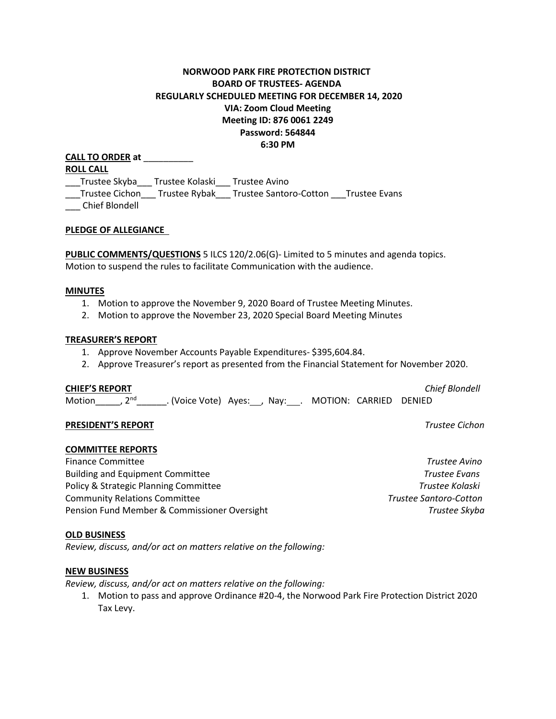# **NORWOOD PARK FIRE PROTECTION DISTRICT BOARD OF TRUSTEES- AGENDA REGULARLY SCHEDULED MEETING FOR DECEMBER 14, 2020 VIA: Zoom Cloud Meeting Meeting ID: 876 0061 2249 Password: 564844 6:30 PM**

**CALL TO ORDER at** \_\_\_\_\_\_\_\_\_\_ **ROLL CALL** \_\_\_Trustee Skyba\_\_\_ Trustee Kolaski\_\_\_ Trustee Avino \_\_\_Trustee Cichon\_\_\_ Trustee Rybak\_\_\_ Trustee Santoro-Cotton \_\_\_Trustee Evans \_\_\_ Chief Blondell

## **PLEDGE OF ALLEGIANCE**

**PUBLIC COMMENTS/QUESTIONS** 5 ILCS 120/2.06(G)- Limited to 5 minutes and agenda topics. Motion to suspend the rules to facilitate Communication with the audience.

#### **MINUTES**

- 1. Motion to approve the November 9, 2020 Board of Trustee Meeting Minutes.
- 2. Motion to approve the November 23, 2020 Special Board Meeting Minutes

### **TREASURER'S REPORT**

- 1. Approve November Accounts Payable Expenditures- \$395,604.84.
- 2. Approve Treasurer's report as presented from the Financial Statement for November 2020.

#### **CHIEF'S REPORT** *Chief Blondell*

Motion , 2<sup>nd</sup> . (Voice Vote) Ayes: Nay: . MOTION: CARRIED DENIED

## **PRESIDENT'S REPORT** *Trustee Cichon*

## **COMMITTEE REPORTS**

Finance Committee *Trustee Avino* Building and Equipment Committee *Trustee Evans* Policy & Strategic Planning Committee *Trustee Kolaski* Community Relations Committee *Trustee Santoro-Cotton*  Pension Fund Member & Commissioner Oversight *Trustee Skyba*

#### **OLD BUSINESS**

*Review, discuss, and/or act on matters relative on the following:*

### **NEW BUSINESS**

*Review, discuss, and/or act on matters relative on the following:*

1. Motion to pass and approve Ordinance #20-4, the Norwood Park Fire Protection District 2020 Tax Levy.